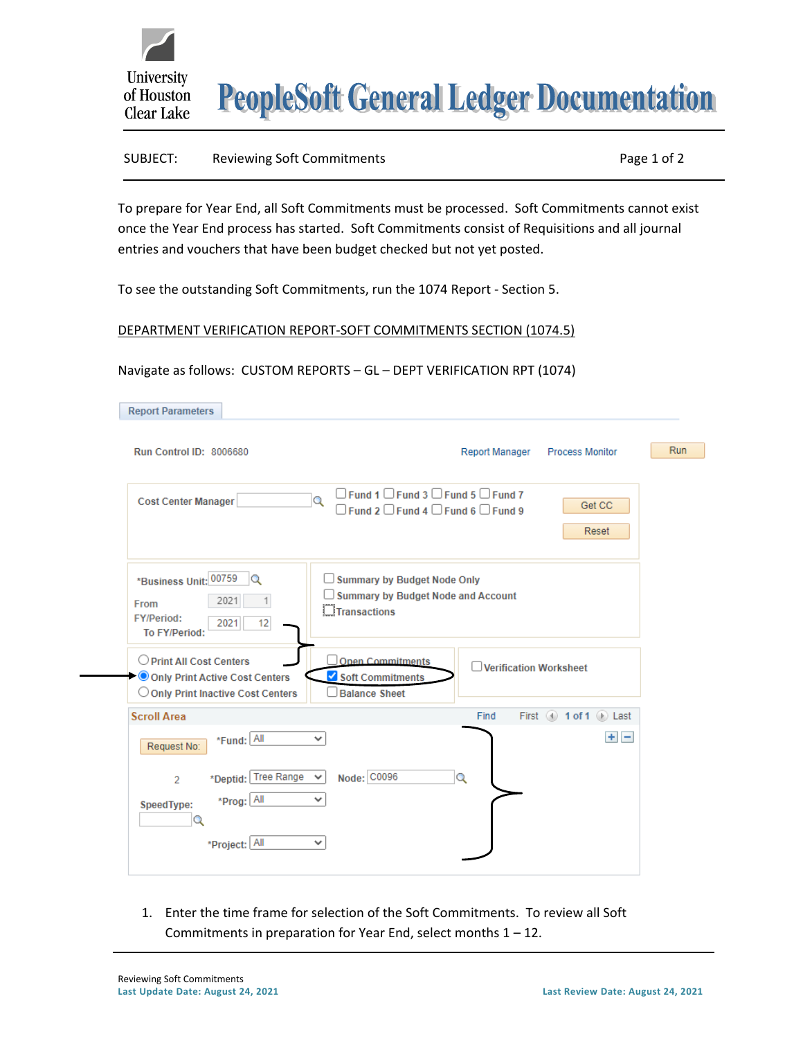

**PeopleSoft General Ledger Documentation** 

## SUBJECT: Reviewing Soft Commitments **Page 1 of 2** and 2

To prepare for Year End, all Soft Commitments must be processed. Soft Commitments cannot exist once the Year End process has started. Soft Commitments consist of Requisitions and all journal entries and vouchers that have been budget checked but not yet posted.

To see the outstanding Soft Commitments, run the 1074 Report - Section 5.

## DEPARTMENT VERIFICATION REPORT-SOFT COMMITMENTS SECTION (1074.5)

## Navigate as follows: CUSTOM REPORTS – GL – DEPT VERIFICATION RPT (1074)

| <b>Report Parameters</b>                                                                              |                                                                                                                      |            |
|-------------------------------------------------------------------------------------------------------|----------------------------------------------------------------------------------------------------------------------|------------|
| Run Control ID: 8006680                                                                               | Report Manager<br><b>Process Monitor</b>                                                                             | <b>Run</b> |
| <b>Cost Center Manager</b>                                                                            | $\Box$ Fund 1 $\Box$ Fund 3 $\Box$ Fund 5 $\Box$ Fund 7<br>Q<br>Get CC<br>Fund 2 □ Fund 4 □ Fund 6 □ Fund 9<br>Reset |            |
| *Business Unit: 00759<br>Q<br>2021<br><b>From</b><br><b>FY/Period:</b><br>12<br>2021<br>To FY/Period: | Summary by Budget Node Only<br><b>Summary by Budget Node and Account</b><br><b>Transactions</b>                      |            |
| O Print All Cost Centers<br>Only Print Active Cost Centers<br>O Only Print Inactive Cost Centers      | <b>Open Commitments</b><br><b>Verification Worksheet</b><br>Soft Commitments<br><b>Balance Sheet</b>                 |            |
| <b>Scroll Area</b>                                                                                    | First 4 1 of 1 2 Last<br>Find                                                                                        |            |
| *Fund: All<br>Request No:                                                                             | $+$ $-$<br>$\checkmark$                                                                                              |            |
| *Deptid: Tree Range<br>$\overline{2}$<br>*Prog: All<br>SpeedType:<br>Q                                | Node: C0096<br>Q                                                                                                     |            |
| *Project: All                                                                                         | v                                                                                                                    |            |

1. Enter the time frame for selection of the Soft Commitments. To review all Soft Commitments in preparation for Year End, select months  $1 - 12$ .